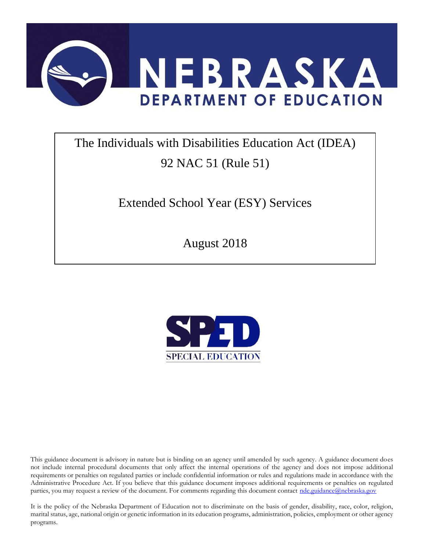

# The Individuals with Disabilities Education Act (IDEA) 92 NAC 51 (Rule 51)

Extended School Year (ESY) Services

August 2018



This guidance document is advisory in nature but is binding on an agency until amended by such agency. A guidance document does not include internal procedural documents that only affect the internal operations of the agency and does not impose additional requirements or penalties on regulated parties or include confidential information or rules and regulations made in accordance with the Administrative Procedure Act. If you believe that this guidance document imposes additional requirements or penalties on regulated parties, you may request a review of the document. For comments regarding this document contact [nde.guidance@nebraska.gov](mailto:nde.guidance@nebraska.gov)

It is the policy of the Nebraska Department of Education not to discriminate on the basis of gender, disability, race, color, religion, marital status, age, national origin or genetic information in its education programs, administration, policies, employment or other agency programs.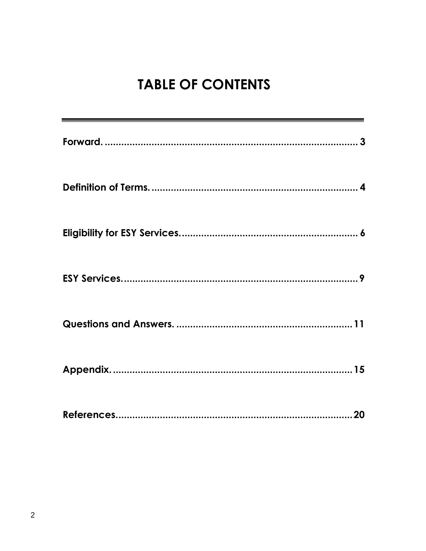# **TABLE OF CONTENTS**

| 20 |
|----|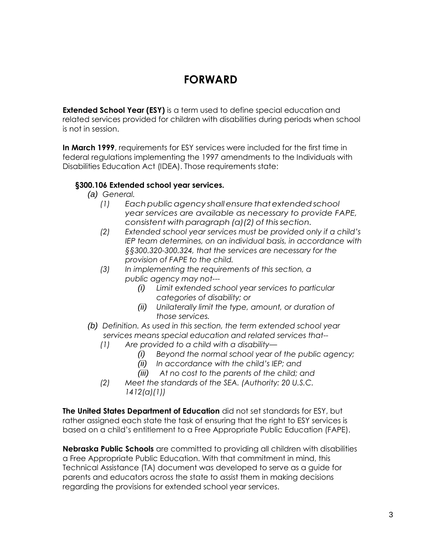### **FORWARD**

<span id="page-2-0"></span>**Extended School Year (ESY)** is a term used to define special education and related services provided for children with disabilities during periods when school is not in session.

**In March 1999**, requirements for ESY services were included for the first time in federal regulations implementing the 1997 amendments to the Individuals with Disabilities Education Act (IDEA). Those requirements state:

#### **§300.106 Extended school year services.**

- *(a) General.*
	- *(1) Eachpublicagency shallensure thatextendedschool year services are available as necessary to provide FAPE, consistent with paragraph (a)(2) of thissection.*
	- *(2) Extended school year services must be provided only if a child's IEP team determines, on an individual basis, in accordance with §§300.320-300.324, that the services are necessary for the provision of FAPE to the child.*
	- *(3) In implementing the requirements of this section, a public agency may not---*
		- *(i) Limit extended school year services to particular categories of disability; or*
		- *(ii) Unilaterally limit the type, amount, or duration of those services.*
- *(b) Definition. As used in this section, the term extended school year services means special education and related services that--*
	- *(1) Are provided to a child with a disability—*
		- *(i) Beyond the normal school year of the public agency;*
		- *(ii) In accordance with the child's IEP; and*
		- *(iii) At no cost to the parents of the child; and*
	- *(2) Meet the standards of the SEA. (Authority: 20 U.S.C. 1412(a)(1))*

**The United States Department of Education** did not set standards for ESY, but rather assigned each state the task of ensuring that the right to ESY services is based on a child's entitlement to a Free Appropriate Public Education (FAPE).

**Nebraska Public Schools** are committed to providing all children with disabilities a Free Appropriate Public Education. With that commitment in mind, this Technical Assistance (TA) document was developed to serve as a guide for parents and educators across the state to assist them in making decisions regarding the provisions for extended school year services.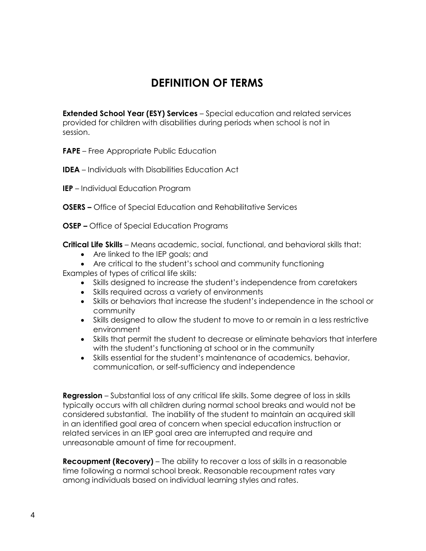# **DEFINITION OF TERMS**

<span id="page-3-0"></span>**Extended School Year (ESY) Services** – Special education and related services provided for children with disabilities during periods when school is not in session.

**FAPE** – Free Appropriate Public Education

- **IDEA**  Individuals with Disabilities Education Act
- **IEP**  Individual Education Program
- **OSERS –** Office of Special Education and Rehabilitative Services
- **OSEP –** Office of Special Education Programs

**Critical Life Skills** – Means academic, social, functional, and behavioral skills that:

- Are linked to the IEP goals; and
- Are critical to the student's school and community functioning

Examples of types of critical life skills:

- Skills designed to increase the student's independence from caretakers
- Skills required across a variety of environments
- Skills or behaviors that increase the student's independence in the school or community
- Skills designed to allow the student to move to or remain in a less restrictive environment
- Skills that permit the student to decrease or eliminate behaviors that interfere with the student's functioning at school or in the community
- Skills essential for the student's maintenance of academics, behavior, communication, or self-sufficiency and independence

**Regression** – Substantial loss of any critical life skills. Some degree of loss in skills typically occurs with all children during normal school breaks and would not be considered substantial. The inability of the student to maintain an acquired skill in an identified goal area of concern when special education instruction or related services in an IEP goal area are interrupted and require and unreasonable amount of time for recoupment.

**Recoupment (Recovery)** – The ability to recover a loss of skills in a reasonable time following a normal school break. Reasonable recoupment rates vary among individuals based on individual learning styles and rates.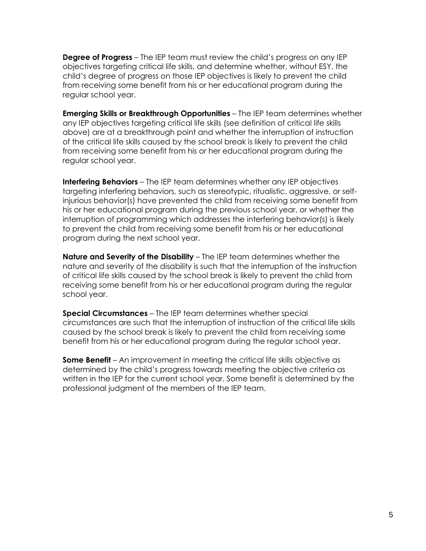**Degree of Progress** – The IEP team must review the child's progress on any IEP objectives targeting critical life skills, and determine whether, without ESY, the child's degree of progress on those IEP objectives is likely to prevent the child from receiving some benefit from his or her educational program during the regular school year.

**Emerging Skills or Breakthrough Opportunities** – The IEP team determines whether any IEP objectives targeting critical life skills (see definition of critical life skills above) are at a breakthrough point and whether the interruption of instruction of the critical life skills caused by the school break is likely to prevent the child from receiving some benefit from his or her educational program during the regular school year.

**Interfering Behaviors** – The IEP team determines whether any IEP objectives targeting interfering behaviors, such as stereotypic, ritualistic, aggressive, or selfinjurious behavior(s) have prevented the child from receiving some benefit from his or her educational program during the previous school year, or whether the interruption of programming which addresses the interfering behavior(s) is likely to prevent the child from receiving some benefit from his or her educational program during the next school year.

**Nature and Severity of the Disability** – The IEP team determines whether the nature and severity of the disability is such that the interruption of the instruction of critical life skills caused by the school break is likely to prevent the child from receiving some benefit from his or her educational program during the regular school year.

**Special Circumstances** – The IEP team determines whether special circumstances are such that the interruption of instruction of the critical life skills caused by the school break is likely to prevent the child from receiving some benefit from his or her educational program during the regular school year.

**Some Benefit** – An improvement in meeting the critical life skills objective as determined by the child's progress towards meeting the objective criteria as written in the IEP for the current school year. Some benefit is determined by the professional judgment of the members of the IEP team.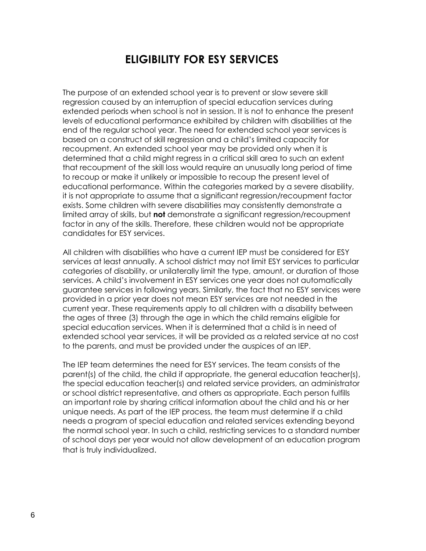### **ELIGIBILITY FOR ESY SERVICES**

<span id="page-5-0"></span>The purpose of an extended school year is to prevent or slow severe skill regression caused by an interruption of special education services during extended periods when school is not in session. It is not to enhance the present levels of educational performance exhibited by children with disabilities at the end of the regular school year. The need for extended school year services is based on a construct of skill regression and a child's limited capacity for recoupment. An extended school year may be provided only when it is determined that a child might regress in a critical skill area to such an extent that recoupment of the skill loss would require an unusually long period of time to recoup or make it unlikely or impossible to recoup the present level of educational performance. Within the categories marked by a severe disability, it is not appropriate to assume that a significant regression/recoupment factor exists. Some children with severe disabilities may consistently demonstrate a limited array of skills, but **not** demonstrate a significant regression/recoupment factor in any of the skills. Therefore, these children would not be appropriate candidates for ESY services.

All children with disabilities who have a current IEP must be considered for ESY services at least annually. A school district may not limit ESY services to particular categories of disability, or unilaterally limit the type, amount, or duration of those services. A child's involvement in ESY services one year does not automatically guarantee services in following years. Similarly, the fact that no ESY services were provided in a prior year does not mean ESY services are not needed in the current year. These requirements apply to all children with a disability between the ages of three (3) through the age in which the child remains eligible for special education services. When it is determined that a child is in need of extended school year services, it will be provided as a related service at no cost to the parents, and must be provided under the auspices of an IEP.

The IEP team determines the need for ESY services. The team consists of the parent(s) of the child, the child if appropriate, the general education teacher(s), the special education teacher(s) and related service providers, an administrator or school district representative, and others as appropriate. Each person fulfills an important role by sharing critical information about the child and his or her unique needs. As part of the IEP process, the team must determine if a child needs a program of special education and related services extending beyond the normal school year. In such a child, restricting services to a standard number of school days per year would not allow development of an education program that is truly individualized.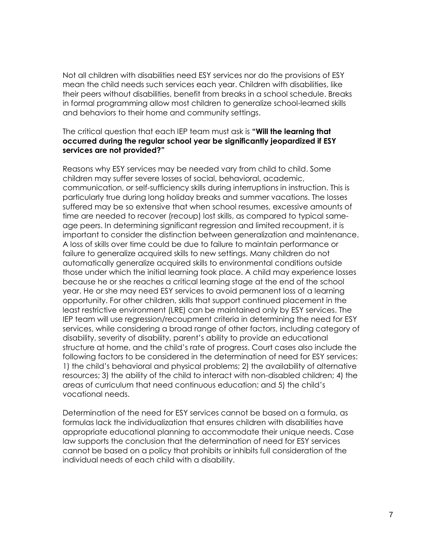Not all children with disabilities need ESY services nor do the provisions of ESY mean the child needs such services each year. Children with disabilities, like their peers without disabilities, benefit from breaks in a school schedule. Breaks in formal programming allow most children to generalize school-learned skills and behaviors to their home and community settings.

#### The critical question that each IEP team must ask is **"Will the learning that occurred during the regular school year be significantly jeopardized if ESY services are not provided?"**

Reasons why ESY services may be needed vary from child to child. Some children may suffer severe losses of social, behavioral, academic, communication, or self-sufficiency skills during interruptions in instruction. This is particularly true during long holiday breaks and summer vacations. The losses suffered may be so extensive that when school resumes, excessive amounts of time are needed to recover (recoup) lost skills, as compared to typical sameage peers. In determining significant regression and limited recoupment, it is important to consider the distinction between generalization and maintenance. A loss of skills over time could be due to failure to maintain performance or failure to generalize acquired skills to new settings. Many children do not automatically generalize acquired skills to environmental conditions outside those under which the initial learning took place. A child may experience losses because he or she reaches a critical learning stage at the end of the school year. He or she may need ESY services to avoid permanent loss of a learning opportunity. For other children, skills that support continued placement in the least restrictive environment (LRE) can be maintained only by ESY services. The IEP team will use regression/recoupment criteria in determining the need for ESY services, while considering a broad range of other factors, including category of disability, severity of disability, parent's ability to provide an educational structure at home, and the child's rate of progress. Court cases also include the following factors to be considered in the determination of need for ESY services: 1) the child's behavioral and physical problems; 2) the availability of alternative resources; 3) the ability of the child to interact with non-disabled children; 4) the areas of curriculum that need continuous education; and 5) the child's vocational needs.

Determination of the need for ESY services cannot be based on a formula, as formulas lack the individualization that ensures children with disabilities have appropriate educational planning to accommodate their unique needs. Case law supports the conclusion that the determination of need for ESY services cannot be based on a policy that prohibits or inhibits full consideration of the individual needs of each child with a disability.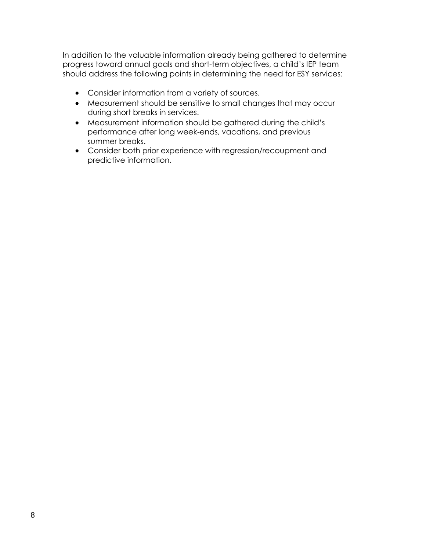In addition to the valuable information already being gathered to determine progress toward annual goals and short-term objectives, a child's IEP team should address the following points in determining the need for ESY services:

- Consider information from a variety of sources.
- Measurement should be sensitive to small changes that may occur during short breaks in services.
- Measurement information should be gathered during the child's performance after long week-ends, vacations, and previous summer breaks.
- Consider both prior experience with regression/recoupment and predictive information.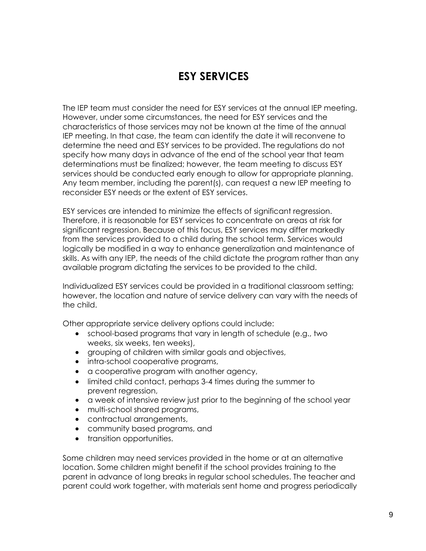### **ESY SERVICES**

<span id="page-8-0"></span>The IEP team must consider the need for ESY services at the annual IEP meeting. However, under some circumstances, the need for ESY services and the characteristics of those services may not be known at the time of the annual IEP meeting. In that case, the team can identify the date it will reconvene to determine the need and ESY services to be provided. The regulations do not specify how many days in advance of the end of the school year that team determinations must be finalized; however, the team meeting to discuss ESY services should be conducted early enough to allow for appropriate planning. Any team member, including the parent(s), can request a new IEP meeting to reconsider ESY needs or the extent of ESY services.

ESY services are intended to minimize the effects of significant regression. Therefore, it is reasonable for ESY services to concentrate on areas at risk for significant regression. Because of this focus, ESY services may differ markedly from the services provided to a child during the school term. Services would logically be modified in a way to enhance generalization and maintenance of skills. As with any IEP, the needs of the child dictate the program rather than any available program dictating the services to be provided to the child.

Individualized ESY services could be provided in a traditional classroom setting; however, the location and nature of service delivery can vary with the needs of the child.

Other appropriate service delivery options could include:

- school-based programs that vary in length of schedule (e.g., two weeks, six weeks, ten weeks),
- grouping of children with similar goals and objectives,
- intra-school cooperative programs,
- a cooperative program with another agency,
- limited child contact, perhaps 3-4 times during the summer to prevent regression,
- a week of intensive review just prior to the beginning of the school year
- multi-school shared programs,
- contractual arrangements,
- community based programs, and
- transition opportunities.

Some children may need services provided in the home or at an alternative location. Some children might benefit if the school provides training to the parent in advance of long breaks in regular school schedules. The teacher and parent could work together, with materials sent home and progress periodically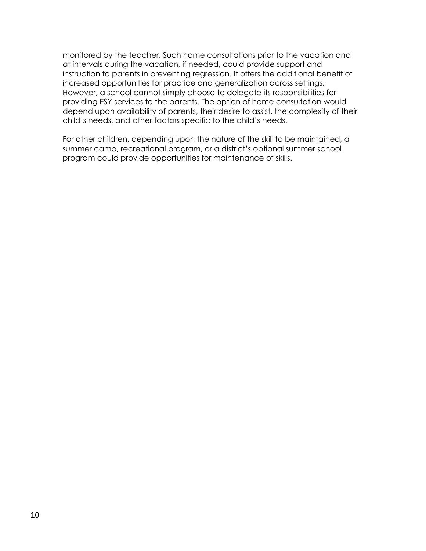monitored by the teacher. Such home consultations prior to the vacation and at intervals during the vacation, if needed, could provide support and instruction to parents in preventing regression. It offers the additional benefit of increased opportunities for practice and generalization across settings. However, a school cannot simply choose to delegate its responsibilities for providing ESY services to the parents. The option of home consultation would depend upon availability of parents, their desire to assist, the complexity of their child's needs, and other factors specific to the child's needs.

For other children, depending upon the nature of the skill to be maintained, a summer camp, recreational program, or a district's optional summer school program could provide opportunities for maintenance of skills.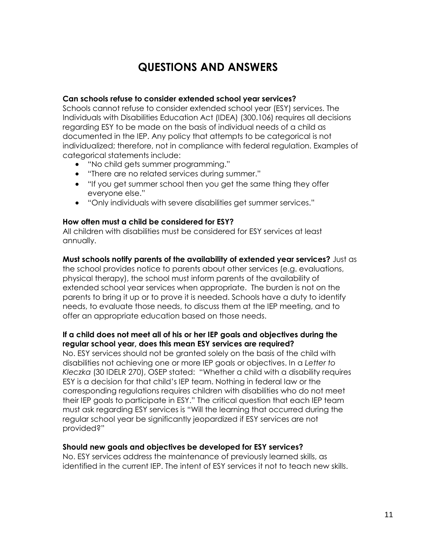# **QUESTIONS AND ANSWERS**

#### <span id="page-10-0"></span>**Can schools refuse to consider extended school year services?**

Schools cannot refuse to consider extended school year (ESY) services. The Individuals with Disabilities Education Act (IDEA) (300.106) requires all decisions regarding ESY to be made on the basis of individual needs of a child as documented in the IEP. Any policy that attempts to be categorical is not individualized; therefore, not in compliance with federal regulation. Examples of categorical statements include:

- "No child gets summer programming."
- "There are no related services during summer."
- "If you get summer school then you get the same thing they offer everyone else."
- "Only individuals with severe disabilities get summer services."

#### **How often must a child be considered for ESY?**

All children with disabilities must be considered for ESY services at least annually.

#### **Must schools notify parents of the availability of extended year services?** Just as

the school provides notice to parents about other services (e.g. evaluations, physical therapy), the school must inform parents of the availability of extended school year services when appropriate. The burden is not on the parents to bring it up or to prove it is needed. Schools have a duty to identify needs, to evaluate those needs, to discuss them at the IEP meeting, and to offer an appropriate education based on those needs.

#### **If a child does not meet all of his or her IEP goals and objectives during the regular school year, does this mean ESY services are required?**

No. ESY services should not be granted solely on the basis of the child with disabilities not achieving one or more IEP goals or objectives. In a *Letter to Kleczka* (30 IDELR 270), OSEP stated: "Whether a child with a disability requires ESY is a decision for that child's IEP team. Nothing in federal law or the corresponding regulations requires children with disabilities who do not meet their IEP goals to participate in ESY." The critical question that each IEP team must ask regarding ESY services is "Will the learning that occurred during the regular school year be significantly jeopardized if ESY services are not provided?"

#### **Should new goals and objectives be developed for ESY services?**

No. ESY services address the maintenance of previously learned skills, as identified in the current IEP. The intent of ESY services it not to teach new skills.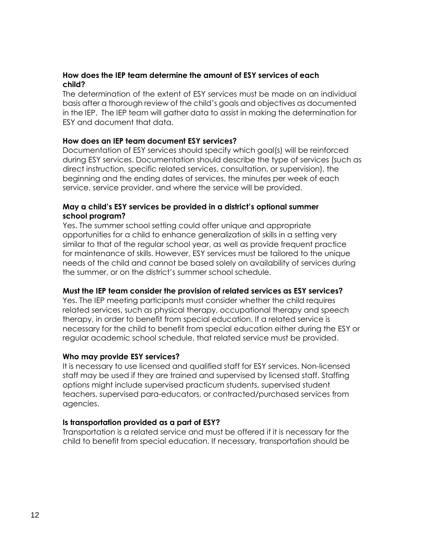#### **How does the IEP team determine the amount of ESY services of each child?**

The determination of the extent of ESY services must be made on an individual basis after a thorough review of the child's goals and objectives as documented in the IEP. The IEP team will gather data to assist in making the determination for ESY and document that data.

#### **How does an IEP team document ESY services?**

Documentation of ESY services should specify which goal(s) will be reinforced during ESY services. Documentation should describe the type of services (such as direct instruction, specific related services, consultation, or supervision), the beginning and the ending dates of services, the minutes per week of each service, service provider, and where the service will be provided.

#### **May a child's ESY services be provided in a district's optional summer school program?**

Yes. The summer school setting could offer unique and appropriate opportunities for a child to enhance generalization of skills in a setting very similar to that of the regular school year, as well as provide frequent practice for maintenance of skills. However, ESY services must be tailored to the unique needs of the child and cannot be based solely on availability of services during the summer, or on the district's summer school schedule.

#### **Must the IEP team consider the provision of related services as ESY services?**

Yes. The IEP meeting participants must consider whether the child requires related services, such as physical therapy, occupational therapy and speech therapy, in order to benefit from special education. If a related service is necessary for the child to benefit from special education either during the ESY or regular academic school schedule, that related service must be provided.

#### **Who may provide ESY services?**

It is necessary to use licensed and qualified staff for ESY services. Non-licensed staff may be used if they are trained and supervised by licensed staff. Staffing options might include supervised practicum students, supervised student teachers, supervised para-educators, or contracted/purchased services from agencies.

#### **Is transportation provided as a part of ESY?**

Transportation is a related service and must be offered if it is necessary for the child to benefit from special education. If necessary, transportation should be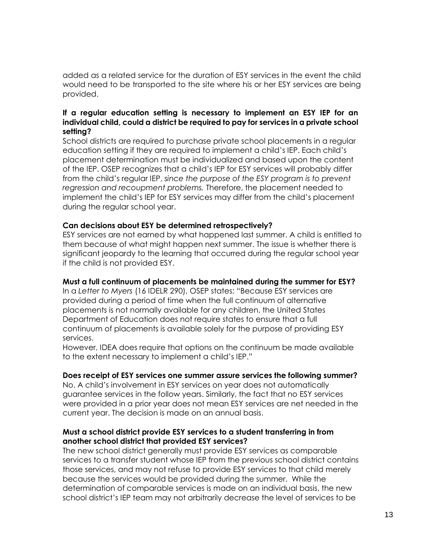added as a related service for the duration of ESY services in the event the child would need to be transported to the site where his or her ESY services are being provided.

#### **If a regular education setting is necessary to implement an ESY IEP for an individual child, could a district be required to pay for services in a private school setting?**

School districts are required to purchase private school placements in a regular education setting if they are required to implement a child's IEP. Each child's placement determination must be individualized and based upon the content of the IEP. OSEP recognizes that a child's IEP for ESY services will probably differ from the child's regular IEP, *since the purpose of the ESY program is to prevent regression and recoupment problems.* Therefore, the placement needed to implement the child's IEP for ESY services may differ from the child's placement during the regular school year.

#### **Can decisions about ESY be determined retrospectively?**

ESY services are not earned by what happened last summer. A child is entitled to them because of what might happen next summer. The issue is whether there is significant jeopardy to the learning that occurred during the regular school year if the child is not provided ESY.

#### **Must a full continuum of placements be maintained during the summer for ESY?**

In a *Letter to Myers* (16 IDELR 290), OSEP states: "Because ESY services are provided during a period of time when the full continuum of alternative placements is not normally available for any children, the United States Department of Education does not require states to ensure that a full continuum of placements is available solely for the purpose of providing ESY services.

However, IDEA does require that options on the continuum be made available to the extent necessary to implement a child's IEP."

#### **Does receipt of ESY services one summer assure services the following summer?**

No. A child's involvement in ESY services on year does not automatically guarantee services in the follow years. Similarly, the fact that no ESY services were provided in a prior year does not mean ESY services are net needed in the current year. The decision is made on an annual basis.

#### **Must a school district provide ESY services to a student transferring in from another school district that provided ESY services?**

The new school district generally must provide ESY services as comparable services to a transfer student whose IEP from the previous school district contains those services, and may not refuse to provide ESY services to that child merely because the services would be provided during the summer. While the determination of comparable services is made on an individual basis, the new school district's IEP team may not arbitrarily decrease the level of services to be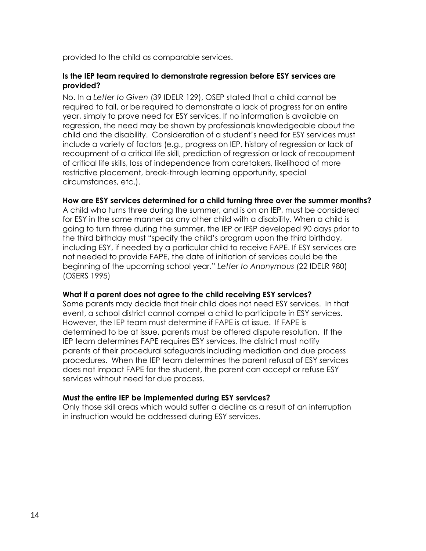provided to the child as comparable services.

#### **Is the IEP team required to demonstrate regression before ESY services are provided?**

No. In a *Letter to Given* (39 IDELR 129), OSEP stated that a child cannot be required to fail, or be required to demonstrate a lack of progress for an entire year, simply to prove need for ESY services. If no information is available on regression, the need may be shown by professionals knowledgeable about the child and the disability. Consideration of a student's need for ESY services must include a variety of factors (e.g., progress on IEP, history of regression or lack of recoupment of a critical life skill, prediction of regression or lack of recoupment of critical life skills, loss of independence from caretakers, likelihood of more restrictive placement, break-through learning opportunity, special circumstances, etc.).

#### **How are ESY services determined for a child turning three over the summer months?**

A child who turns three during the summer, and is on an IEP, must be considered for ESY in the same manner as any other child with a disability. When a child is going to turn three during the summer, the IEP or IFSP developed 90 days prior to the third birthday must "specify the child's program upon the third birthday, including ESY, if needed by a particular child to receive FAPE. If ESY services are not needed to provide FAPE, the date of initiation of services could be the beginning of the upcoming school year." *Letter to Anonymous* (22 IDELR 980) (OSERS 1995)

#### **What if a parent does not agree to the child receiving ESY services?**

Some parents may decide that their child does not need ESY services. In that event, a school district cannot compel a child to participate in ESY services. However, the IEP team must determine if FAPE is at issue. If FAPE is determined to be at issue, parents must be offered dispute resolution. If the IEP team determines FAPE requires ESY services, the district must notify parents of their procedural safeguards including mediation and due process procedures. When the IEP team determines the parent refusal of ESY services does not impact FAPE for the student, the parent can accept or refuse ESY services without need for due process.

#### **Must the entire IEP be implemented during ESY services?**

Only those skill areas which would suffer a decline as a result of an interruption in instruction would be addressed during ESY services.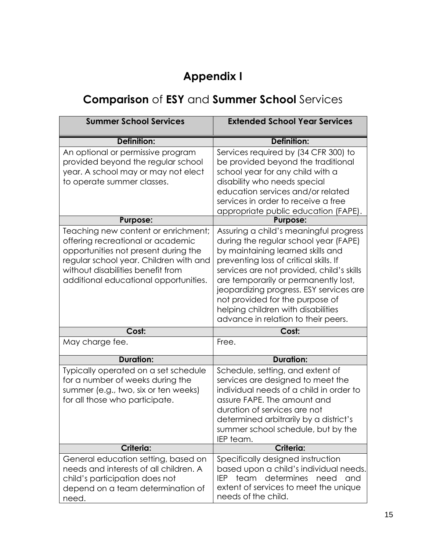# **Appendix I**

# **Comparison** of **ESY** and **Summer School** Services

| <b>Summer School Services</b>                                                                                                                                                                                                            | <b>Extended School Year Services</b>                                                                                                                                                                                                                                                                                                                                                                           |
|------------------------------------------------------------------------------------------------------------------------------------------------------------------------------------------------------------------------------------------|----------------------------------------------------------------------------------------------------------------------------------------------------------------------------------------------------------------------------------------------------------------------------------------------------------------------------------------------------------------------------------------------------------------|
| Definition:                                                                                                                                                                                                                              | Definition:                                                                                                                                                                                                                                                                                                                                                                                                    |
| An optional or permissive program<br>provided beyond the regular school<br>year. A school may or may not elect<br>to operate summer classes.                                                                                             | Services required by (34 CFR 300) to<br>be provided beyond the traditional<br>school year for any child with a<br>disability who needs special<br>education services and/or related<br>services in order to receive a free<br>appropriate public education (FAPE).                                                                                                                                             |
| <b>Purpose:</b>                                                                                                                                                                                                                          | <b>Purpose:</b>                                                                                                                                                                                                                                                                                                                                                                                                |
| Teaching new content or enrichment;<br>offering recreational or academic<br>opportunities not present during the<br>regular school year. Children with and<br>without disabilities benefit from<br>additional educational opportunities. | Assuring a child's meaningful progress<br>during the regular school year (FAPE)<br>by maintaining learned skills and<br>preventing loss of critical skills. If<br>services are not provided, child's skills<br>are temporarily or permanently lost,<br>jeopardizing progress. ESY services are<br>not provided for the purpose of<br>helping children with disabilities<br>advance in relation to their peers. |
| Cost:                                                                                                                                                                                                                                    | Cost:                                                                                                                                                                                                                                                                                                                                                                                                          |
| May charge fee.                                                                                                                                                                                                                          | Free.                                                                                                                                                                                                                                                                                                                                                                                                          |
| <b>Duration:</b>                                                                                                                                                                                                                         | <b>Duration:</b>                                                                                                                                                                                                                                                                                                                                                                                               |
| Typically operated on a set schedule<br>for a number of weeks during the<br>summer (e.g., two, six or ten weeks)<br>for all those who participate.                                                                                       | Schedule, setting, and extent of<br>services are designed to meet the<br>individual needs of a child in order to<br>assure FAPE. The amount and<br>duration of services are not<br>determined arbitrarily by a district's<br>summer school schedule, but by the<br>IEP team.                                                                                                                                   |
| <b>Criteria:</b>                                                                                                                                                                                                                         | <b>Criteria:</b>                                                                                                                                                                                                                                                                                                                                                                                               |
| General education setting, based on<br>needs and interests of all children. A<br>child's participation does not<br>depend on a team determination of<br>need.                                                                            | Specifically designed instruction<br>based upon a child's individual needs.<br>team<br>determines<br>IEP.<br>need<br>and<br>extent of services to meet the unique<br>needs of the child.                                                                                                                                                                                                                       |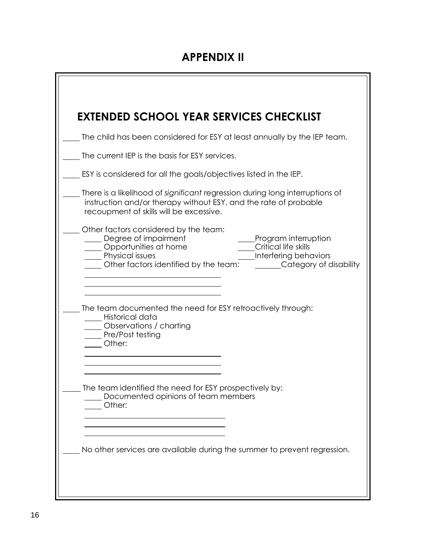# **APPENDIX II**

|                                                                  |                                                                                               | The child has been considered for ESY at least annually by the IEP team.                                                                         |
|------------------------------------------------------------------|-----------------------------------------------------------------------------------------------|--------------------------------------------------------------------------------------------------------------------------------------------------|
|                                                                  |                                                                                               |                                                                                                                                                  |
|                                                                  | The current IEP is the basis for ESY services.                                                |                                                                                                                                                  |
|                                                                  |                                                                                               | ESY is considered for all the goals/objectives listed in the IEP.                                                                                |
|                                                                  | recoupment of skills will be excessive.                                                       | There is a likelihood of significant regression during long interruptions of<br>instruction and/or therapy without ESY, and the rate of probable |
| Degree of impairment<br>Opportunities at home<br>Physical issues | Other factors considered by the team:<br>Other factors identified by the team:                | Program interruption<br>Critical life skills<br>Interfering behaviors<br>Category of disability                                                  |
| Historical data                                                  | <b>Confidence</b> / charting                                                                  | The team documented the need for ESY retroactively through:                                                                                      |
| Pre/Post testing<br>Other:                                       |                                                                                               |                                                                                                                                                  |
| Other:                                                           | The team identified the need for ESY prospectively by:<br>Documented opinions of team members |                                                                                                                                                  |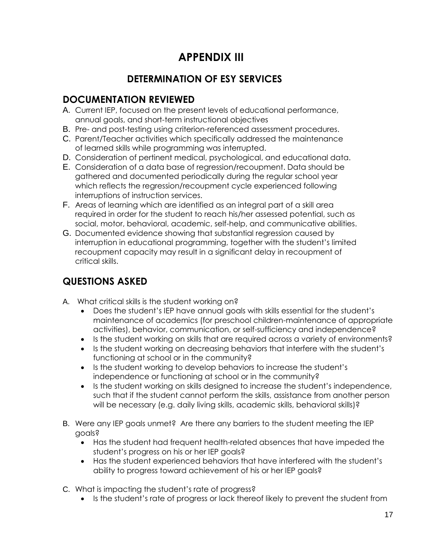# **APPENDIX III**

### **DETERMINATION OF ESY SERVICES**

### **DOCUMENTATION REVIEWED**

- A. Current IEP, focused on the present levels of educational performance, annual goals, and short-term instructional objectives
- B. Pre- and post-testing using criterion-referenced assessment procedures.
- C. Parent/Teacher activities which specifically addressed the maintenance of learned skills while programming was interrupted.
- D. Consideration of pertinent medical, psychological, and educational data.
- E. Consideration of a data base of regression/recoupment. Data should be gathered and documented periodically during the regular school year which reflects the regression/recoupment cycle experienced following interruptions of instruction services.
- F. Areas of learning which are identified as an integral part of a skill area required in order for the student to reach his/her assessed potential, such as social, motor, behavioral, academic, self-help, and communicative abilities.
- G. Documented evidence showing that substantial regression caused by interruption in educational programming, together with the student's limited recoupment capacity may result in a significant delay in recoupment of critical skills.

### **QUESTIONS ASKED**

- A. What critical skills is the student working on?
	- Does the student's IEP have annual goals with skills essential for the student's maintenance of academics (for preschool children-maintenance of appropriate activities), behavior, communication, or self-sufficiency and independence?
	- Is the student working on skills that are required across a variety of environments?
	- Is the student working on decreasing behaviors that interfere with the student's functioning at school or in the community?
	- Is the student working to develop behaviors to increase the student's independence or functioning at school or in the community?
	- Is the student working on skills designed to increase the student's independence, such that if the student cannot perform the skills, assistance from another person will be necessary (e.g. daily living skills, academic skills, behavioral skills)?
- B. Were any IEP goals unmet? Are there any barriers to the student meeting the IEP goals?
	- Has the student had frequent health-related absences that have impeded the student's progress on his or her IEP goals?
	- Has the student experienced behaviors that have interfered with the student's ability to progress toward achievement of his or her IEP goals?
- C. What is impacting the student's rate of progress?
	- Is the student's rate of progress or lack thereof likely to prevent the student from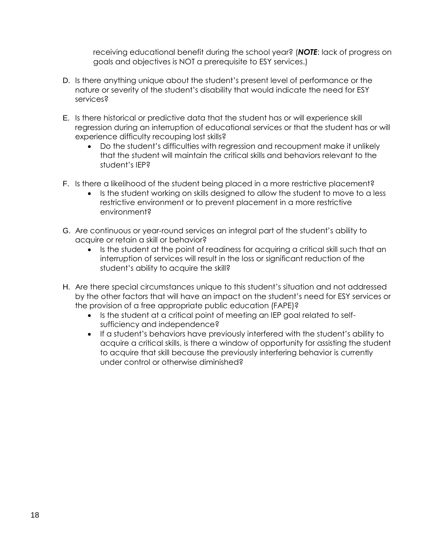receiving educational benefit during the school year? (*NOTE*: lack of progress on goals and objectives is NOT a prerequisite to ESY services.)

- D. Is there anything unique about the student's present level of performance or the nature or severity of the student's disability that would indicate the need for ESY services?
- E. Is there historical or predictive data that the student has or will experience skill regression during an interruption of educational services or that the student has or will experience difficulty recouping lost skills?
	- Do the student's difficulties with regression and recoupment make it unlikely that the student will maintain the critical skills and behaviors relevant to the student's IEP?
- F. Is there a likelihood of the student being placed in a more restrictive placement?
	- Is the student working on skills designed to allow the student to move to a less restrictive environment or to prevent placement in a more restrictive environment?
- G. Are continuous or year-round services an integral part of the student's ability to acquire or retain a skill or behavior?
	- Is the student at the point of readiness for acquiring a critical skill such that an interruption of services will result in the loss or significant reduction of the student's ability to acquire the skill?
- H. Are there special circumstances unique to this student's situation and not addressed by the other factors that will have an impact on the student's need for ESY services or the provision of a free appropriate public education (FAPE)?
	- Is the student at a critical point of meeting an IEP goal related to selfsufficiency and independence?
	- If a student's behaviors have previously interfered with the student's ability to acquire a critical skills, is there a window of opportunity for assisting the student to acquire that skill because the previously interfering behavior is currently under control or otherwise diminished?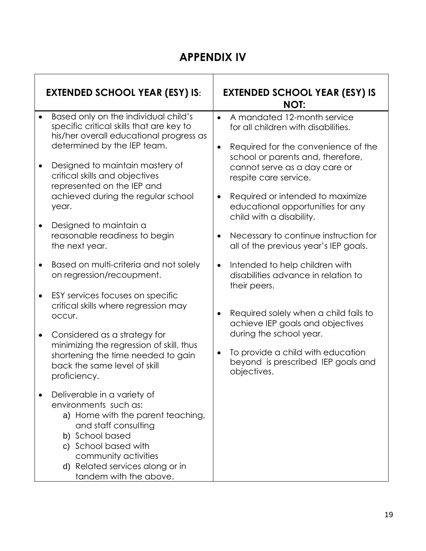### **APPENDIX IV**

| <b>EXTENDED SCHOOL YEAR (ESY) IS:</b>                                                                                                                                                                                                             |           | <b>EXTENDED SCHOOL YEAR (ESY) IS</b><br><b>NOT:</b>                                                       |
|---------------------------------------------------------------------------------------------------------------------------------------------------------------------------------------------------------------------------------------------------|-----------|-----------------------------------------------------------------------------------------------------------|
| Based only on the individual child's<br>specific critical skills that are key to<br>his/her overall educational progress as<br>determined by the IEP team.                                                                                        |           | A mandated 12-month service<br>for all children with disabilities.<br>Required for the convenience of the |
| Designed to maintain mastery of<br>critical skills and objectives<br>represented on the IEP and                                                                                                                                                   |           | school or parents and, therefore,<br>cannot serve as a day care or<br>respite care service.               |
| achieved during the regular school<br>year.                                                                                                                                                                                                       |           | Required or intended to maximize<br>educational opportunities for any<br>child with a disability.         |
| Designed to maintain a<br>reasonable readiness to begin<br>the next year.                                                                                                                                                                         |           | Necessary to continue instruction for<br>all of the previous year's IEP goals.                            |
| Based on multi-criteria and not solely<br>on regression/recoupment.                                                                                                                                                                               |           | Intended to help children with<br>disabilities advance in relation to<br>their peers.                     |
| ESY services focuses on specific<br>critical skills where regression may<br>occur.                                                                                                                                                                |           | Required solely when a child fails to<br>achieve IEP goals and objectives                                 |
| Considered as a strategy for<br>minimizing the regression of skill, thus<br>shortening the time needed to gain<br>back the same level of skill                                                                                                    | $\bullet$ | during the school year.<br>To provide a child with education<br>beyond is prescribed IEP goals and        |
| proficiency.                                                                                                                                                                                                                                      |           | objectives.                                                                                               |
| Deliverable in a variety of<br>environments such as:<br>a) Home with the parent teaching,<br>and staff consulting<br>b) School based<br>c) School based with<br>community activities<br>d) Related services along or in<br>tandem with the above. |           |                                                                                                           |